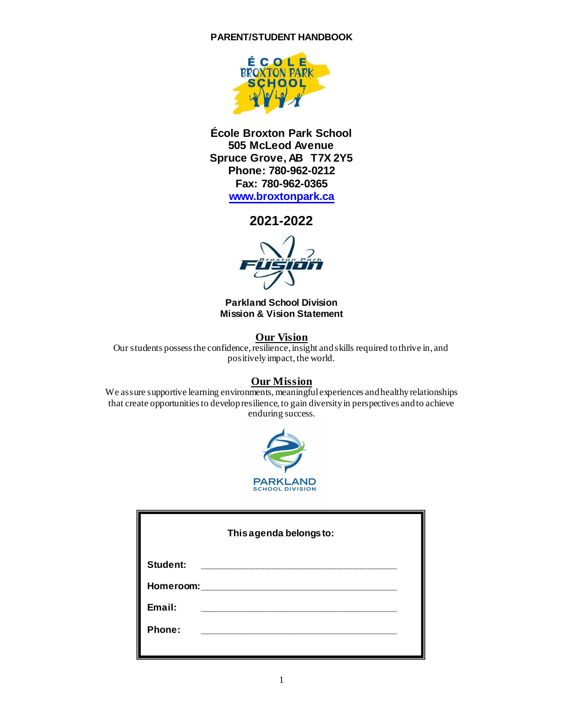

**École Broxton Park School 505 McLeod Avenue Spruce Grove, AB T7X 2Y5 Phone: 780-962-0212 Fax: 780-962-0365 [www.broxtonpark.ca](http://www.broxtonpark.ca/)**

**2021-2022**

**Parkland School Division Mission & Vision Statement**

**Our Vision** Our students possess the confidence, resilience, insight and skills required to thrive in, and positively impact, the world.

# **Our Mission**

We assure supportive learning environments, meaningful experiences and healthy relationships that create opportunities to develop resilience, to gain diversity in perspectives and to achieve enduring success.



|                 | This agenda belongs to: |
|-----------------|-------------------------|
| <b>Student:</b> |                         |
| Homeroom:       |                         |
| Email:          |                         |
| Phone:          |                         |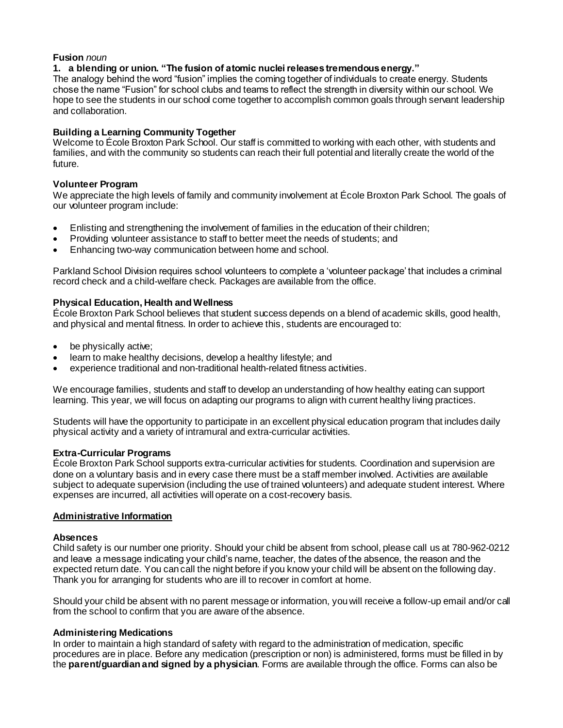## **Fusion** *noun*

### **1. a blending or union. "The fusion of atomic nuclei releases tremendous energy."**

The analogy behind the word "fusion" implies the coming together of individuals to create energy. Students chose the name "Fusion" for school clubs and teams to reflect the strength in diversity within our school. We hope to see the students in our school come together to accomplish common goals through servant leadership and collaboration.

# **Building a Learning Community Together**

Welcome to École Broxton Park School. Our staff is committed to working with each other, with students and families, and with the community so students can reach their full potential and literally create the world of the future.

## **Volunteer Program**

We appreciate the high levels of family and community involvement at École Broxton Park School. The goals of our volunteer program include:

- Enlisting and strengthening the involvement of families in the education of their children;
- Providing volunteer assistance to staff to better meet the needs of students; and
- Enhancing two-way communication between home and school.

Parkland School Division requires school volunteers to complete a 'volunteer package' that includes a criminal record check and a child-welfare check. Packages are available from the office.

## **Physical Education, Health and Wellness**

École Broxton Park School believes that student success depends on a blend of academic skills, good health, and physical and mental fitness. In order to achieve this, students are encouraged to:

- be physically active;
- learn to make healthy decisions, develop a healthy lifestyle; and
- experience traditional and non-traditional health-related fitness activities.

We encourage families, students and staff to develop an understanding of how healthy eating can support learning. This year, we will focus on adapting our programs to align with current healthy living practices.

Students will have the opportunity to participate in an excellent physical education program that includes daily physical activity and a variety of intramural and extra-curricular activities.

# **Extra-Curricular Programs**

École Broxton Park School supports extra-curricular activities for students. Coordination and supervision are done on a voluntary basis and in every case there must be a staff member involved. Activities are available subject to adequate supervision (including the use of trained volunteers) and adequate student interest. Where expenses are incurred, all activities will operate on a cost-recovery basis.

### **Administrative Information**

### **Absences**

Child safety is our number one priority. Should your child be absent from school, please call us at 780-962-0212 and leave a message indicating your child's name, teacher, the dates of the absence, the reason and the expected return date. You can call the night before if you know your child will be absent on the following day. Thank you for arranging for students who are ill to recover in comfort at home.

Should your child be absent with no parent message or information, you will receive a follow-up email and/or call from the school to confirm that you are aware of the absence.

### **Administering Medications**

In order to maintain a high standard of safety with regard to the administration of medication, specific procedures are in place. Before any medication (prescription or non) is administered, forms must be filled in by the **parent/guardian and signed by a physician**. Forms are available through the office. Forms can also be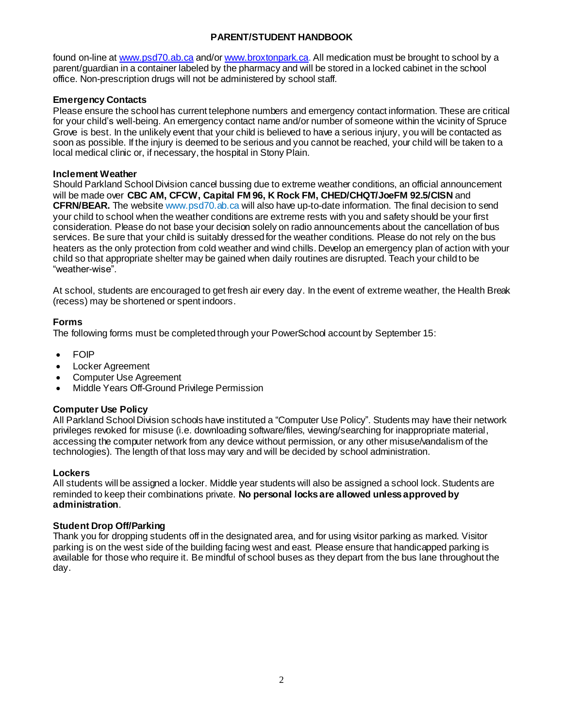found on-line at [www.psd70.ab.ca](http://www.psd70.ab.ca/) and/o[r www.broxtonpark.ca](http://www.broxtonpark.ca/). All medication must be brought to school by a parent/guardian in a container labeled by the pharmacy and will be stored in a locked cabinet in the school office. Non-prescription drugs will not be administered by school staff.

# **Emergency Contacts**

Please ensure the school has current telephone numbers and emergency contact information. These are critical for your child's well-being. An emergency contact name and/or number of someone within the vicinity of Spruce Grove is best. In the unlikely event that your child is believed to have a serious injury, you will be contacted as soon as possible. If the injury is deemed to be serious and you cannot be reached, your child will be taken to a local medical clinic or, if necessary, the hospital in Stony Plain.

## **Inclement Weather**

Should Parkland School Division cancel bussing due to extreme weather conditions, an official announcement will be made over **CBC AM, CFCW, Capital FM 96, K Rock FM, CHED/CHQT/JoeFM 92.5/CISN** and **CFRN/BEAR.** The website www.psd70.ab.ca will also have up-to-date information. The final decision to send your child to school when the weather conditions are extreme rests with you and safety should be your first consideration. Please do not base your decision solely on radio announcements about the cancellation of bus services. Be sure that your child is suitably dressed for the weather conditions. Please do not rely on the bus heaters as the only protection from cold weather and wind chills. Develop an emergency plan of action with your child so that appropriate shelter may be gained when daily routines are disrupted. Teach your child to be "weather-wise".

At school, students are encouraged to get fresh air every day. In the event of extreme weather, the Health Break (recess) may be shortened or spent indoors.

# **Forms**

The following forms must be completed through your PowerSchool account by September 15:

- FOIP
- Locker Agreement
- Computer Use Agreement
- Middle Years Off-Ground Privilege Permission

# **Computer Use Policy**

All Parkland School Division schools have instituted a "Computer Use Policy". Students may have their network privileges revoked for misuse (i.e. downloading software/files, viewing/searching for inappropriate material, accessing the computer network from any device without permission, or any other misuse/vandalism of the technologies). The length of that loss may vary and will be decided by school administration.

### **Lockers**

All students will be assigned a locker. Middle year students will also be assigned a school lock. Students are reminded to keep their combinations private. **No personal locks are allowed unless approved by administration**.

# **Student Drop Off/Parking**

Thank you for dropping students off in the designated area, and for using visitor parking as marked. Visitor parking is on the west side of the building facing west and east. Please ensure that handicapped parking is available for those who require it. Be mindful of school buses as they depart from the bus lane throughout the day.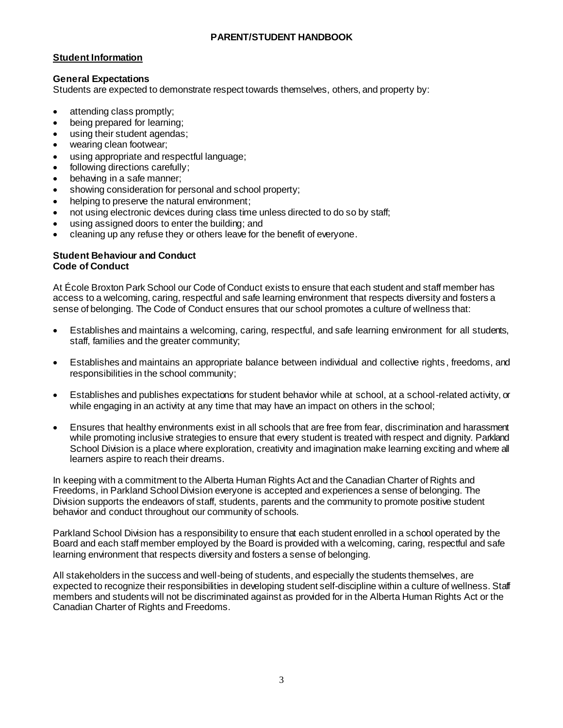# **Student Information**

### **General Expectations**

Students are expected to demonstrate respect towards themselves, others, and property by:

- attending class promptly;
- being prepared for learning;
- using their student agendas;
- wearing clean footwear;
- using appropriate and respectful language;
- following directions carefully;
- behaving in a safe manner;
- showing consideration for personal and school property;
- helping to preserve the natural environment;
- not using electronic devices during class time unless directed to do so by staff;
- using assigned doors to enter the building; and
- cleaning up any refuse they or others leave for the benefit of everyone.

# **Student Behaviour and Conduct Code of Conduct**

At École Broxton Park School our Code of Conduct exists to ensure that each student and staff member has access to a welcoming, caring, respectful and safe learning environment that respects diversity and fosters a sense of belonging. The Code of Conduct ensures that our school promotes a culture of wellness that:

- Establishes and maintains a welcoming, caring, respectful, and safe learning environment for all students, staff, families and the greater community;
- Establishes and maintains an appropriate balance between individual and collective rights , freedoms, and responsibilities in the school community;
- Establishes and publishes expectations for student behavior while at school, at a school-related activity, or while engaging in an activity at any time that may have an impact on others in the school;
- Ensures that healthy environments exist in all schools that are free from fear, discrimination and harassment while promoting inclusive strategies to ensure that every student is treated with respect and dignity. Parkland School Division is a place where exploration, creativity and imagination make learning exciting and where all learners aspire to reach their dreams.

In keeping with a commitment to the Alberta Human Rights Act and the Canadian Charter of Rights and Freedoms, in Parkland School Division everyone is accepted and experiences a sense of belonging. The Division supports the endeavors of staff, students, parents and the community to promote positive student behavior and conduct throughout our community of schools.

Parkland School Division has a responsibility to ensure that each student enrolled in a school operated by the Board and each staff member employed by the Board is provided with a welcoming, caring, respectful and safe learning environment that respects diversity and fosters a sense of belonging.

All stakeholders in the success and well-being of students, and especially the students themselves, are expected to recognize their responsibilities in developing student self-discipline within a culture of wellness. Staff members and students will not be discriminated against as provided for in the Alberta Human Rights Act or the Canadian Charter of Rights and Freedoms.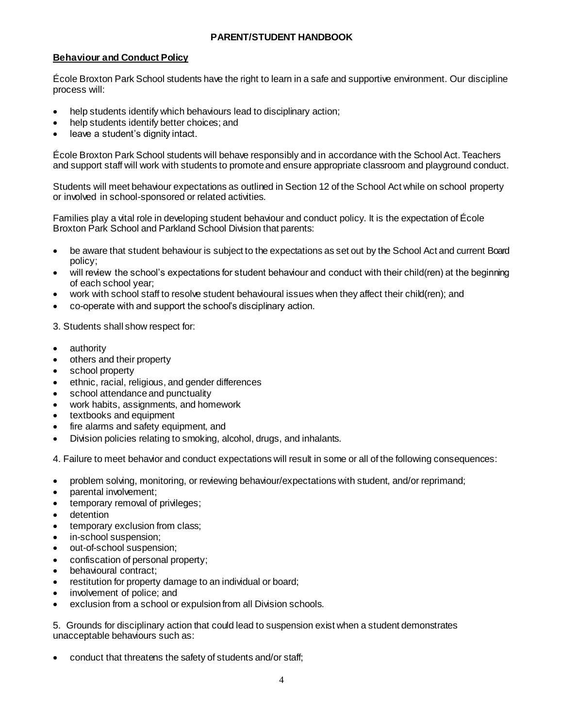## **Behaviour and Conduct Policy**

École Broxton Park School students have the right to learn in a safe and supportive environment. Our discipline process will:

- help students identify which behaviours lead to disciplinary action;
- help students identify better choices; and
- leave a student's dignity intact.

École Broxton Park School students will behave responsibly and in accordance with the School Act. Teachers and support staff will work with students to promote and ensure appropriate classroom and playground conduct.

Students will meet behaviour expectations as outlined in Section 12 of the School Act while on school property or involved in school-sponsored or related activities.

Families play a vital role in developing student behaviour and conduct policy. It is the expectation of École Broxton Park School and Parkland School Division that parents:

- be aware that student behaviour is subject to the expectations as set out by the School Act and current Board policy;
- will review the school's expectations for student behaviour and conduct with their child(ren) at the beginning of each school year;
- work with school staff to resolve student behavioural issues when they affect their child(ren); and
- co-operate with and support the school's disciplinary action.

3. Students shall show respect for:

- authority
- others and their property
- school property
- ethnic, racial, religious, and gender differences
- school attendance and punctuality
- work habits, assignments, and homework
- textbooks and equipment
- fire alarms and safety equipment, and
- Division policies relating to smoking, alcohol, drugs, and inhalants.

4. Failure to meet behavior and conduct expectations will result in some or all of the following consequences:

- problem solving, monitoring, or reviewing behaviour/expectations with student, and/or reprimand;
- parental involvement;
- temporary removal of privileges;
- detention
- temporary exclusion from class;
- in-school suspension;
- out-of-school suspension;
- confiscation of personal property;
- behavioural contract;
- restitution for property damage to an individual or board;
- involvement of police; and
- exclusion from a school or expulsion from all Division schools.

5. Grounds for disciplinary action that could lead to suspension exist when a student demonstrates unacceptable behaviours such as:

conduct that threatens the safety of students and/or staff;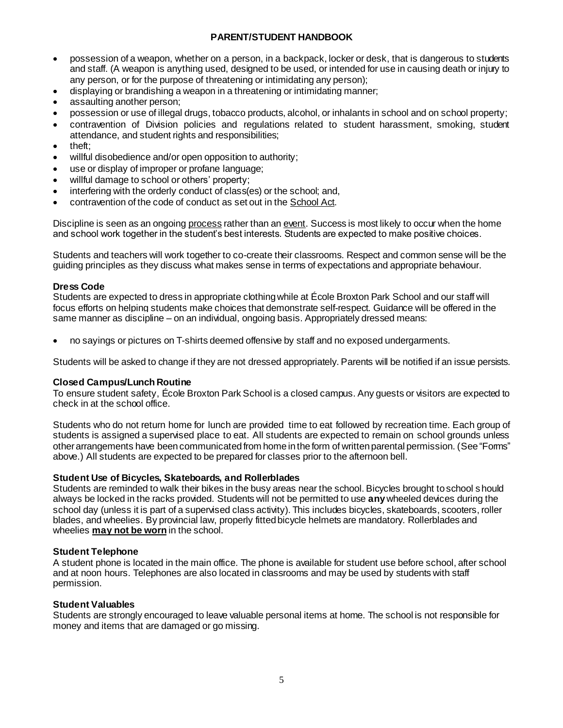- possession of a weapon, whether on a person, in a backpack, locker or desk, that is dangerous to students and staff. (A weapon is anything used, designed to be used, or intended for use in causing death or injury to any person, or for the purpose of threatening or intimidating any person);
- displaying or brandishing a weapon in a threatening or intimidating manner;
- assaulting another person;
- possession or use of illegal drugs, tobacco products, alcohol, or inhalants in school and on school property;
- contravention of Division policies and regulations related to student harassment, smoking, student attendance, and student rights and responsibilities;
- theft;
- willful disobedience and/or open opposition to authority;
- use or display of improper or profane language;
- willful damage to school or others' property;
- interfering with the orderly conduct of class(es) or the school; and,
- contravention of the code of conduct as set out in the School Act.

Discipline is seen as an ongoing process rather than an event. Success is most likely to occur when the home and school work together in the student's best interests. Students are expected to make positive choices.

Students and teachers will work together to co-create their classrooms. Respect and common sense will be the guiding principles as they discuss what makes sense in terms of expectations and appropriate behaviour.

### **Dress Code**

Students are expected to dress in appropriate clothing while at École Broxton Park School and our staff will focus efforts on helping students make choices that demonstrate self-respect. Guidance will be offered in the same manner as discipline – on an individual, ongoing basis. Appropriately dressed means:

no sayings or pictures on T-shirts deemed offensive by staff and no exposed undergarments.

Students will be asked to change if they are not dressed appropriately. Parents will be notified if an issue persists.

### **Closed Campus/Lunch Routine**

To ensure student safety, École Broxton Park School is a closed campus. Any guests or visitors are expected to check in at the school office.

Students who do not return home for lunch are provided time to eat followed by recreation time. Each group of students is assigned a supervised place to eat. All students are expected to remain on school grounds unless other arrangements have been communicated from home in the form of written parental permission. (See "Forms" above.) All students are expected to be prepared for classes prior to the afternoon bell.

### **Student Use of Bicycles, Skateboards, and Rollerblades**

Students are reminded to walk their bikes in the busy areas near the school. Bicycles brought to school should always be locked in the racks provided. Students will not be permitted to use **any**wheeled devices during the school day (unless it is part of a supervised class activity). This includes bicycles, skateboards, scooters, roller blades, and wheelies. By provincial law, properly fitted bicycle helmets are mandatory. Rollerblades and wheelies **may not be worn** in the school.

### **Student Telephone**

A student phone is located in the main office. The phone is available for student use before school, after school and at noon hours. Telephones are also located in classrooms and may be used by students with staff permission.

### **Student Valuables**

Students are strongly encouraged to leave valuable personal items at home. The school is not responsible for money and items that are damaged or go missing.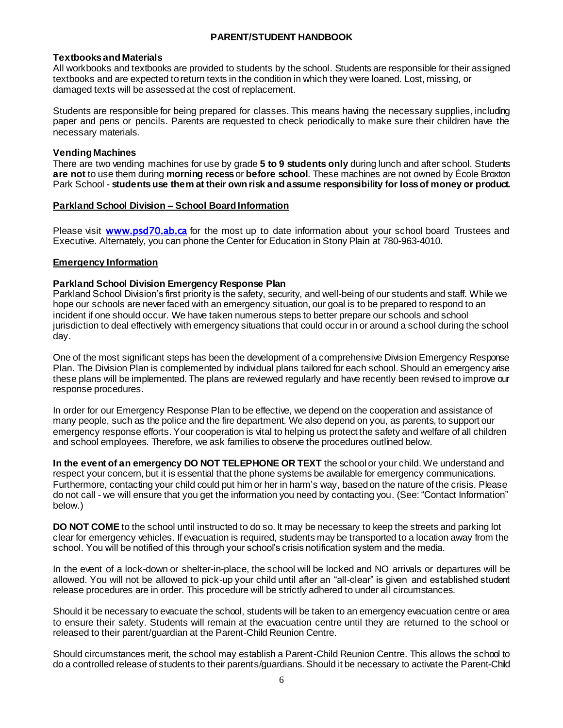### **Textbooks and Materials**

All workbooks and textbooks are provided to students by the school. Students are responsible for their assigned textbooks and are expected toreturn texts in the condition in which they were loaned. Lost, missing, or damaged texts will be assessed at the cost of replacement.

Students are responsible for being prepared for classes. This means having the necessary supplies, including paper and pens or pencils. Parents are requested to check periodically to make sure their children have the necessary materials.

### **Vending Machines**

There are two vending machines for use by grade **5 to 9 students only** during lunch and after school. Students **are not** to use them during **morning recess** or **before school**. These machines are not owned by École Broxton Park School - **students use them at their own risk and assume responsibility for loss of money or product.**

#### **Parkland School Division – School Board Information**

Please visit [www.psd70.ab.ca](http://www.psd70.ab.ca/) for the most up to date information about your school board Trustees and Executive. Alternately, you can phone the Center for Education in Stony Plain at 780-963-4010.

### **Emergency Information**

### **Parkland School Division Emergency Response Plan**

Parkland School Division's first priority is the safety, security, and well-being of our students and staff. While we hope our schools are never faced with an emergency situation, our goal is to be prepared to respond to an incident if one should occur. We have taken numerous steps to better prepare our schools and school jurisdiction to deal effectively with emergency situations that could occur in or around a school during the school day.

One of the most significant steps has been the development of a comprehensive Division Emergency Response Plan. The Division Plan is complemented by individual plans tailored for each school. Should an emergency arise these plans will be implemented. The plans are reviewed regularly and have recently been revised to improve our response procedures.

In order for our Emergency Response Plan to be effective, we depend on the cooperation and assistance of many people, such as the police and the fire department. We also depend on you, as parents, to support our emergency response efforts. Your cooperation is vital to helping us protect the safety and welfare of all children and school employees. Therefore, we ask families to observe the procedures outlined below.

**In the event of an emergency DO NOT TELEPHONE OR TEXT** the school or your child. We understand and respect your concern, but it is essential that the phone systems be available for emergency communications. Furthermore, contacting your child could put him or her in harm's way, based on the nature of the crisis. Please do not call - we will ensure that you get the information you need by contacting you. (See: "Contact Information" below.)

**DO NOT COME** to the school until instructed to do so. It may be necessary to keep the streets and parking lot clear for emergency vehicles. If evacuation is required, students may be transported to a location away from the school. You will be notified of this through your school's crisis notification system and the media.

In the event of a lock-down or shelter-in-place, the school will be locked and NO arrivals or departures will be allowed. You will not be allowed to pick-up your child until after an "all-clear" is given and established student release procedures are in order. This procedure will be strictly adhered to under all circumstances.

Should it be necessary to evacuate the school, students will be taken to an emergency evacuation centre or area to ensure their safety. Students will remain at the evacuation centre until they are returned to the school or released to their parent/guardian at the Parent-Child Reunion Centre.

Should circumstances merit, the school may establish a Parent-Child Reunion Centre. This allows the school to do a controlled release of students to their parents/guardians. Should it be necessary to activate the Parent-Child